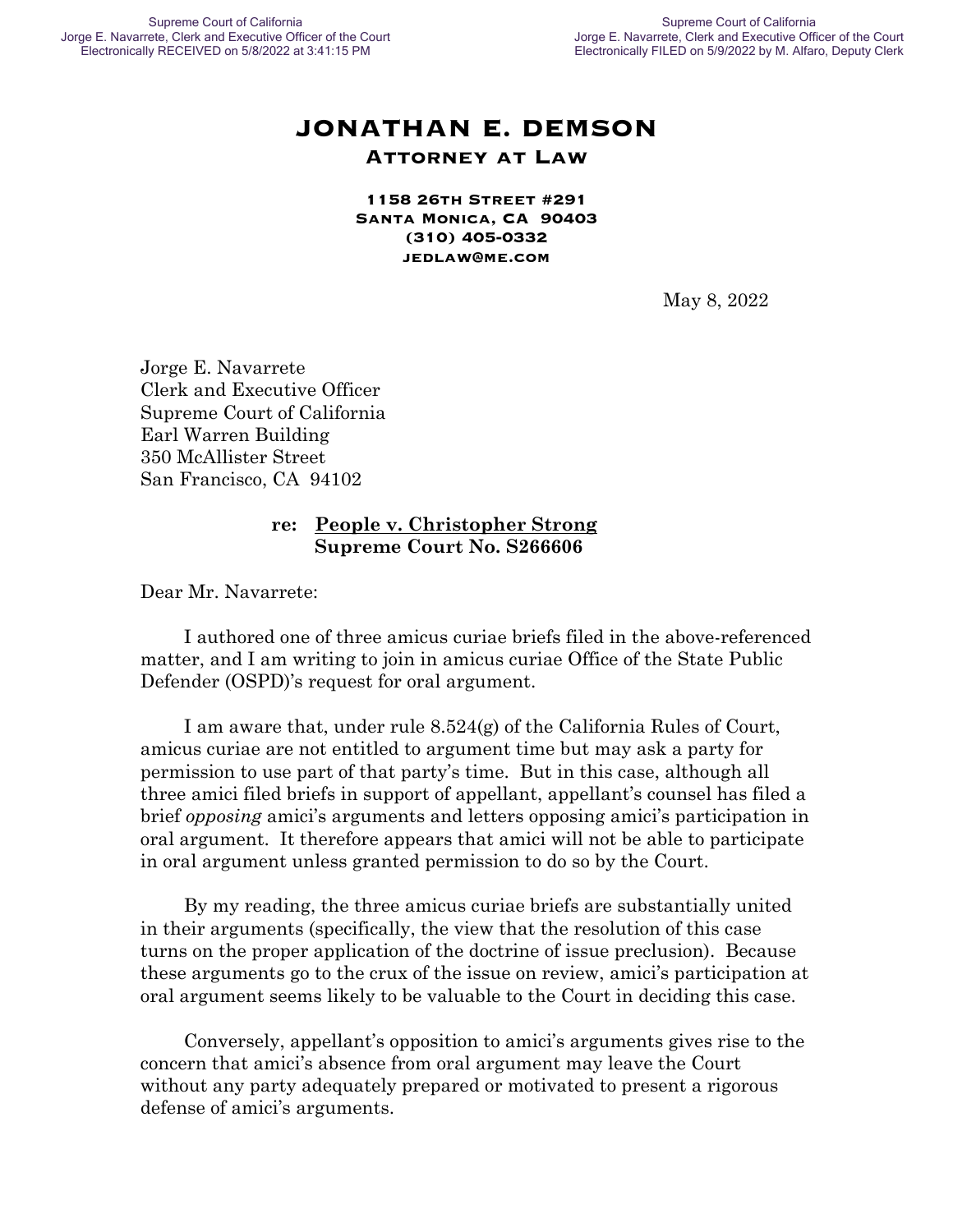## **JONATHAN E. DEMSON Attorney at Law**

**1158 26th Street #291 Santa Monica, CA 90403 (310) 405-0332 jedlaw@me.com**

May 8, 2022

Jorge E. Navarrete Clerk and Executive Officer Supreme Court of California Earl Warren Building 350 McAllister Street San Francisco, CA 94102

#### **re: People v. Christopher Strong Supreme Court No. S266606**

Dear Mr. Navarrete:

I authored one of three amicus curiae briefs filed in the above-referenced matter, and I am writing to join in amicus curiae Office of the State Public Defender (OSPD)'s request for oral argument.

I am aware that, under rule  $8.524(g)$  of the California Rules of Court, amicus curiae are not entitled to argument time but may ask a party for permission to use part of that party's time. But in this case, although all three amici filed briefs in support of appellant, appellant's counsel has filed a brief *opposing* amici's arguments and letters opposing amici's participation in oral argument. It therefore appears that amici will not be able to participate in oral argument unless granted permission to do so by the Court.

By my reading, the three amicus curiae briefs are substantially united in their arguments (specifically, the view that the resolution of this case turns on the proper application of the doctrine of issue preclusion). Because these arguments go to the crux of the issue on review, amici's participation at oral argument seems likely to be valuable to the Court in deciding this case.

Conversely, appellant's opposition to amici's arguments gives rise to the concern that amici's absence from oral argument may leave the Court without any party adequately prepared or motivated to present a rigorous defense of amici's arguments.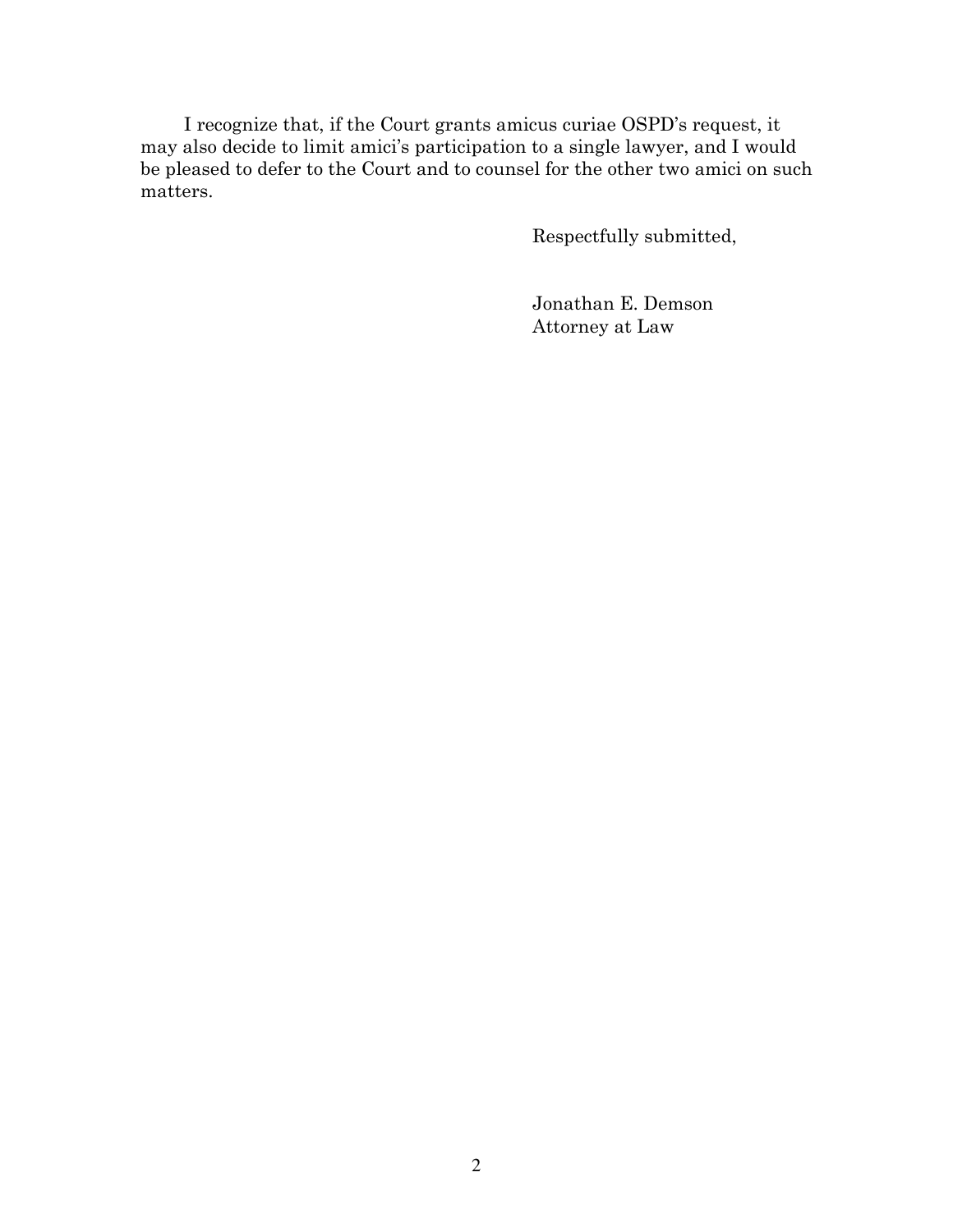I recognize that, if the Court grants amicus curiae OSPD's request, it may also decide to limit amici's participation to a single lawyer, and I would be pleased to defer to the Court and to counsel for the other two amici on such matters.

Respectfully submitted,

Jonathan E. Demson Attorney at Law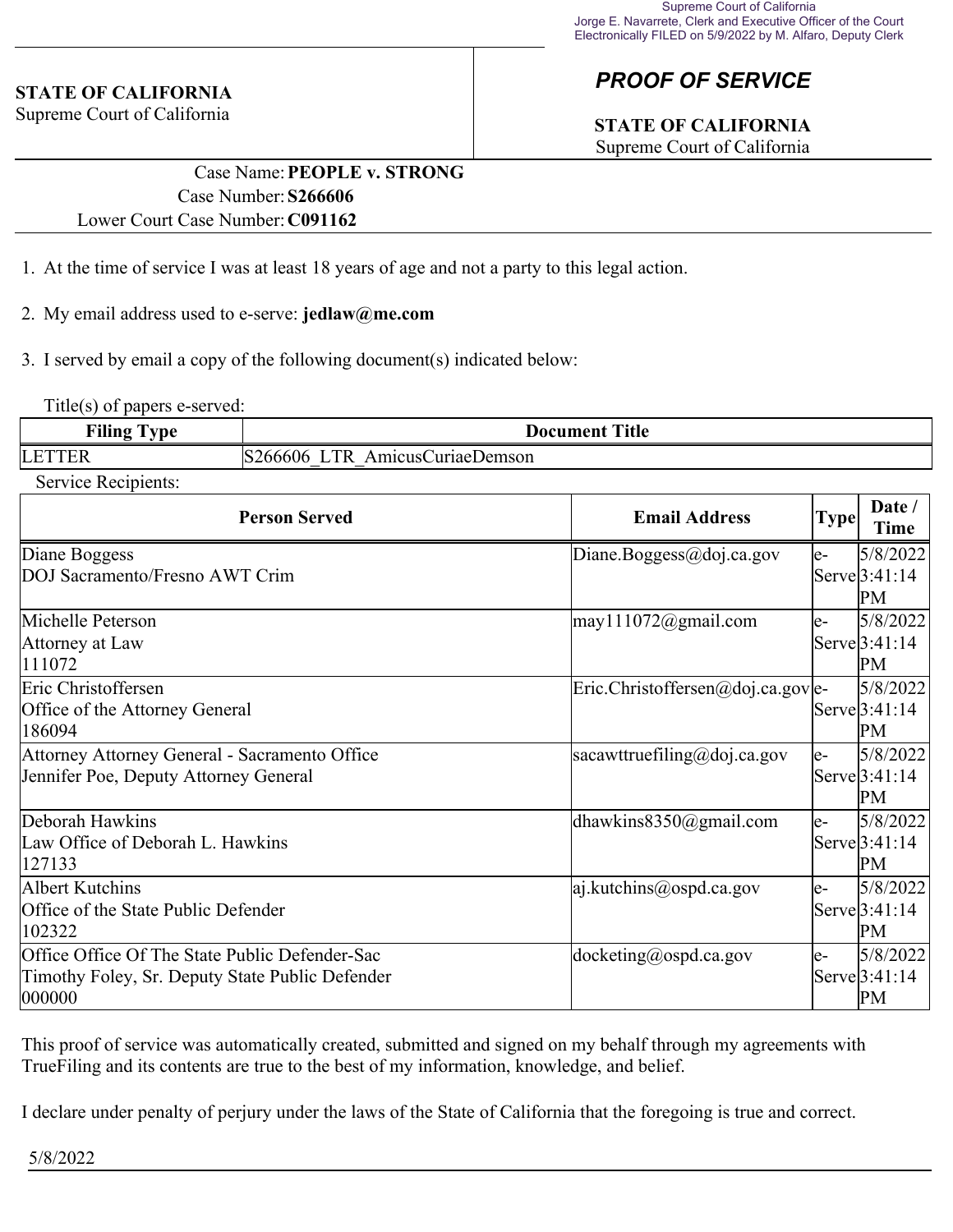#### **STATE OF CALIFORNIA**

Supreme Court of California

# *PROOF OF SERVICE*

# **STATE OF CALIFORNIA**

Supreme Court of California

### Case Name:**PEOPLE v. STRONG** Case Number:**S266606** Lower Court Case Number:**C091162**

- 1. At the time of service I was at least 18 years of age and not a party to this legal action.
- 2. My email address used to e-serve: **jedlaw@me.com**
- 3. I served by email a copy of the following document(s) indicated below:

Title(s) of papers e-served:

| <b>Filing Type</b> | <b>Document Title</b>                      |  |
|--------------------|--------------------------------------------|--|
| <b>LETTER</b>      | $\Box$ TR<br>S266606<br>AmicusCuriaeDemson |  |

Service Recipients:

| <b>Person Served</b>                                                                                         | <b>Email Address</b>                        | <b>Type</b> | Date /<br>Time                               |
|--------------------------------------------------------------------------------------------------------------|---------------------------------------------|-------------|----------------------------------------------|
| Diane Boggess<br>DOJ Sacramento/Fresno AWT Crim                                                              | Diane.Boggess@doj.ca.gov                    | le-         | 5/8/2022<br>Serve <sup>[3:41:14]</sup><br>PМ |
| Michelle Peterson<br>Attorney at Law<br>111072                                                               | $\text{may}111072$ @gmail.com               | le-         | 5/8/2022<br>Serve[3:41:14]<br>PM             |
| Eric Christoffersen<br>Office of the Attorney General<br>186094                                              | $\text{Eric.Christoffersen@doj.ca.gov}$  e- |             | 5/8/2022<br>Serve <sup>[3:41:14]</sup><br>PМ |
| Attorney Attorney General - Sacramento Office<br>Jennifer Poe, Deputy Attorney General                       | sacawttruefiling@doj.ca.gov                 | le-         | 5/8/2022<br>Serve <sup>[3:41:14]</sup><br>PM |
| Deborah Hawkins<br>Law Office of Deborah L. Hawkins<br>127133                                                | dhawkins $8350$ @gmail.com                  | le-         | 5/8/2022<br>Serve[3:41:14]<br>PM             |
| Albert Kutchins<br>Office of the State Public Defender<br>102322                                             | $ a $ .kutchins@ospd.ca.gov                 | le-         | 5/8/2022<br>Serve[3:41:14]<br>PM             |
| Office Office Of The State Public Defender-Sac<br>Timothy Foley, Sr. Deputy State Public Defender<br> 000000 | $ $ docketing@ospd.ca.gov                   | le-         | 5/8/2022<br>Serve <sup>[3:41:14]</sup><br>PM |

This proof of service was automatically created, submitted and signed on my behalf through my agreements with TrueFiling and its contents are true to the best of my information, knowledge, and belief.

I declare under penalty of perjury under the laws of the State of California that the foregoing is true and correct.